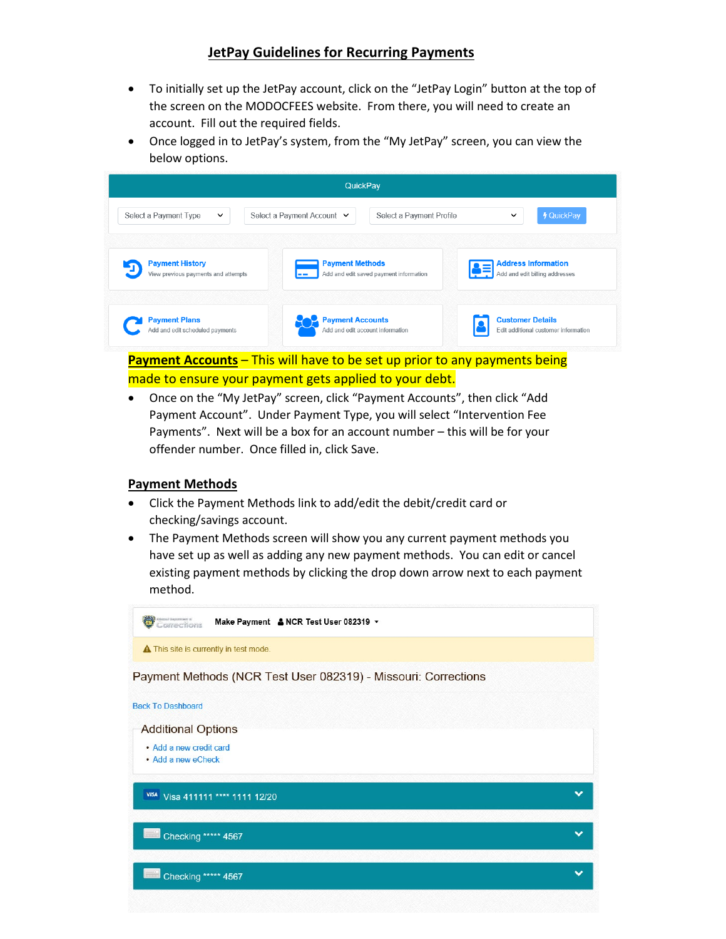## **JetPay Guidelines for Recurring Payments**

- To initially set up the JetPay account, click on the "JetPay Login" button at the top of the screen on the MODOCFEES website. From there, you will need to create an account. Fill out the required fields.
- Once logged in to JetPay's system, from the "My JetPay" screen, you can view the below options.



**Payment Accounts** – This will have to be set up prior to any payments being made to ensure your payment gets applied to your debt.

• Once on the "My JetPay" screen, click "Payment Accounts", then click "Add Payment Account". Under Payment Type, you will select "Intervention Fee Payments". Next will be a box for an account number – this will be for your offender number. Once filled in, click Save.

## **Payment Methods**

- Click the Payment Methods link to add/edit the debit/credit card or checking/savings account.
- The Payment Methods screen will show you any current payment methods you have set up as well as adding any new payment methods. You can edit or cancel existing payment methods by clicking the drop down arrow next to each payment method.

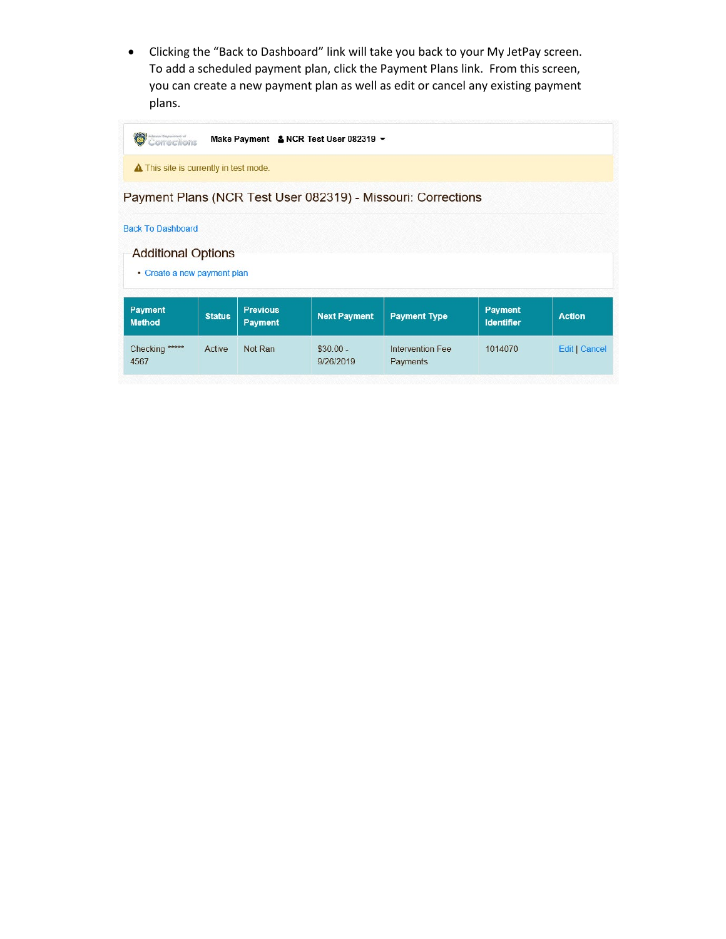• Clicking the "Back to Dashboard" link will take you back to your My JetPay screen. To add a scheduled payment plan, click the Payment Plans link. From this screen, you can create a new payment plan as well as edit or cancel any existing payment plans.

| Milosophi Deponimonsi ali<br>Corrections                                             |               |                                   | Make Payment & NCR Test User 082319 - |                                                              |                                     |               |
|--------------------------------------------------------------------------------------|---------------|-----------------------------------|---------------------------------------|--------------------------------------------------------------|-------------------------------------|---------------|
| <b>A</b> This site is currently in test mode.                                        |               |                                   |                                       |                                                              |                                     |               |
|                                                                                      |               |                                   |                                       | Payment Plans (NCR Test User 082319) - Missouri: Corrections |                                     |               |
| <b>Back To Dashboard</b><br><b>Additional Options</b><br>• Create a new payment plan |               |                                   |                                       |                                                              |                                     |               |
| <b>Payment</b><br><b>Method</b>                                                      | <b>Status</b> | <b>Previous</b><br><b>Payment</b> | <b>Next Payment</b>                   | <b>Payment Type</b>                                          | <b>Payment</b><br><b>Identifier</b> | <b>Action</b> |
| Checking *****<br>4567                                                               | Active        | Not Ran                           | $$30.00 -$<br>9/26/2019               | Intervention Fee<br>Payments                                 | 1014070                             | Edit   Cancel |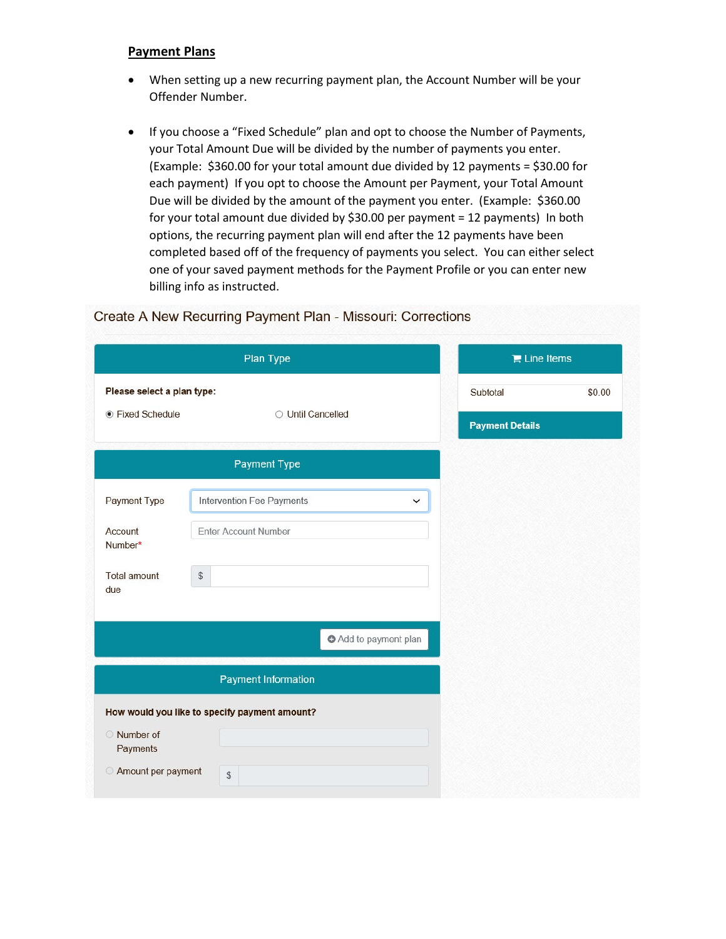## **Payment Plans**

- When setting up a new recurring payment plan, the Account Number will be your Offender Number.
- If you choose a "Fixed Schedule" plan and opt to choose the Number of Payments, your Total Amount Due will be divided by the number of payments you enter. (Example: \$360.00 for your total amount due divided by 12 payments = \$30.00 for each payment) If you opt to choose the Amount per Payment, your Total Amount Due will be divided by the amount of the payment you enter. (Example: \$360.00 for your total amount due divided by \$30.00 per payment = 12 payments) In both options, the recurring payment plan will end after the 12 payments have been completed based off of the frequency of payments you select. You can either select one of your saved payment methods for the Payment Profile or you can enter new billing info as instructed.

|                            | Plan Type                                     | $\mathbb{R}$ Line Items |        |  |
|----------------------------|-----------------------------------------------|-------------------------|--------|--|
| Please select a plan type: |                                               | Subtotal                | \$0.00 |  |
| ● Fixed Schedule           | O Until Cancelled                             | <b>Payment Details</b>  |        |  |
|                            | Payment Type                                  |                         |        |  |
| Payment Type               | Intervention Fee Payments<br>◡                |                         |        |  |
| Account<br>Number*         | <b>Enter Account Number</b>                   |                         |        |  |
| <b>Total amount</b><br>due | $$\mathbb{S}$$                                |                         |        |  |
|                            |                                               |                         |        |  |
|                            | Add to payment plan                           |                         |        |  |
|                            | <b>Payment Information</b>                    |                         |        |  |
|                            | How would you like to specify payment amount? |                         |        |  |
| Number of<br>Payments      |                                               |                         |        |  |
| Amount per payment         | ${\mathbb S}$                                 |                         |        |  |

## $\frac{1}{2}$  $\sim$   $\sim$